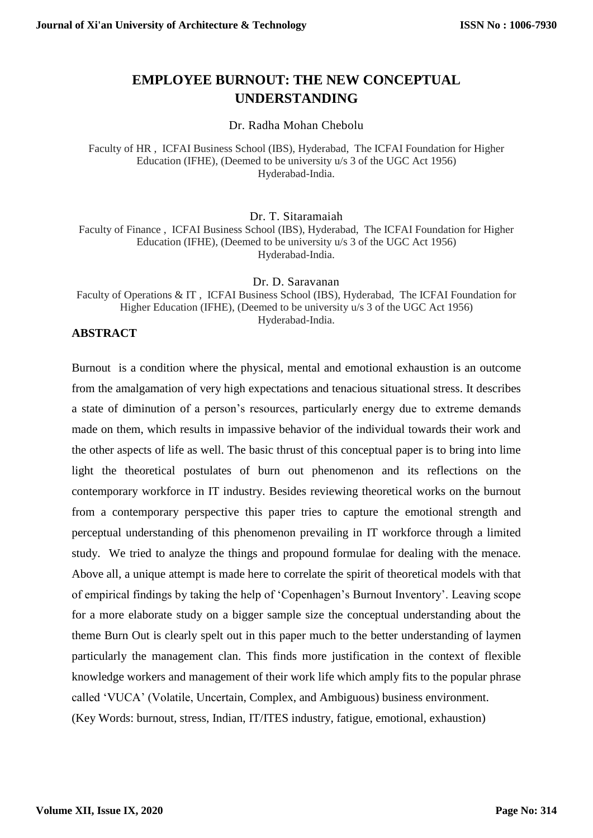# **EMPLOYEE BURNOUT: THE NEW CONCEPTUAL UNDERSTANDING**

Dr. Radha Mohan Chebolu

Faculty of HR , ICFAI Business School (IBS), Hyderabad, The ICFAI Foundation for Higher Education (IFHE), (Deemed to be university u/s 3 of the UGC Act 1956) Hyderabad-India.

Dr. T. Sitaramaiah

Faculty of Finance , ICFAI Business School (IBS), Hyderabad, The ICFAI Foundation for Higher Education (IFHE), (Deemed to be university u/s 3 of the UGC Act 1956) Hyderabad-India.

Dr. D. Saravanan

Faculty of Operations & IT , ICFAI Business School (IBS), Hyderabad, The ICFAI Foundation for Higher Education (IFHE), (Deemed to be university u/s 3 of the UGC Act 1956) Hyderabad-India.

# **ABSTRACT**

Burnout is a condition where the physical, mental and emotional exhaustion is an outcome from the amalgamation of very high expectations and tenacious situational stress. It describes a state of diminution of a person's resources, particularly energy due to extreme demands made on them, which results in impassive behavior of the individual towards their work and the other aspects of life as well. The basic thrust of this conceptual paper is to bring into lime light the theoretical postulates of burn out phenomenon and its reflections on the contemporary workforce in IT industry. Besides reviewing theoretical works on the burnout from a contemporary perspective this paper tries to capture the emotional strength and perceptual understanding of this phenomenon prevailing in IT workforce through a limited study. We tried to analyze the things and propound formulae for dealing with the menace. Above all, a unique attempt is made here to correlate the spirit of theoretical models with that of empirical findings by taking the help of 'Copenhagen's Burnout Inventory'. Leaving scope for a more elaborate study on a bigger sample size the conceptual understanding about the theme Burn Out is clearly spelt out in this paper much to the better understanding of laymen particularly the management clan. This finds more justification in the context of flexible knowledge workers and management of their work life which amply fits to the popular phrase called 'VUCA' (Volatile, Uncertain, Complex, and Ambiguous) business environment. (Key Words: burnout, stress, Indian, IT/ITES industry, fatigue, emotional, exhaustion)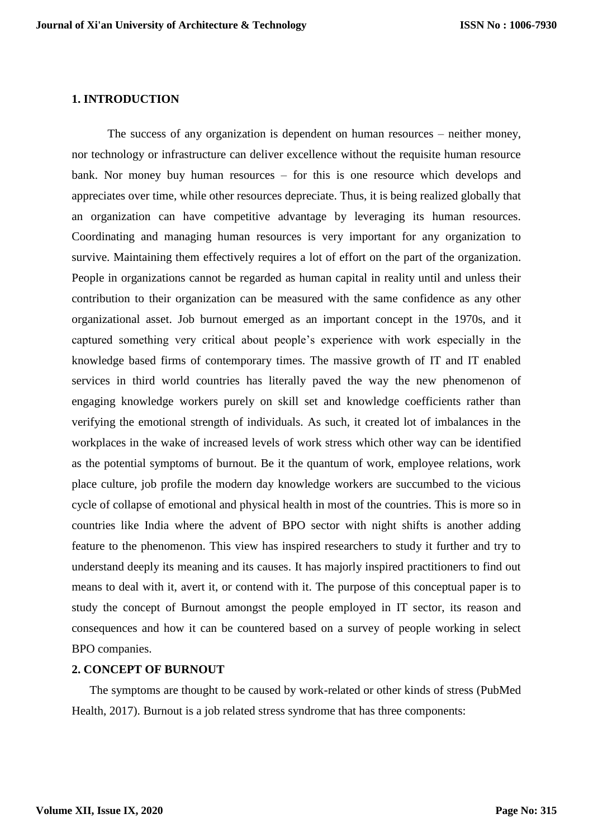#### **1. INTRODUCTION**

The success of any organization is dependent on human resources – neither money, nor technology or infrastructure can deliver excellence without the requisite human resource bank. Nor money buy human resources – for this is one resource which develops and appreciates over time, while other resources depreciate. Thus, it is being realized globally that an organization can have competitive advantage by leveraging its human resources. Coordinating and managing human resources is very important for any organization to survive. Maintaining them effectively requires a lot of effort on the part of the organization. People in organizations cannot be regarded as human capital in reality until and unless their contribution to their organization can be measured with the same confidence as any other organizational asset. Job burnout emerged as an important concept in the 1970s, and it captured something very critical about people's experience with work especially in the knowledge based firms of contemporary times. The massive growth of IT and IT enabled services in third world countries has literally paved the way the new phenomenon of engaging knowledge workers purely on skill set and knowledge coefficients rather than verifying the emotional strength of individuals. As such, it created lot of imbalances in the workplaces in the wake of increased levels of work stress which other way can be identified as the potential symptoms of burnout. Be it the quantum of work, employee relations, work place culture, job profile the modern day knowledge workers are succumbed to the vicious cycle of collapse of emotional and physical health in most of the countries. This is more so in countries like India where the advent of BPO sector with night shifts is another adding feature to the phenomenon. This view has inspired researchers to study it further and try to understand deeply its meaning and its causes. It has majorly inspired practitioners to find out means to deal with it, avert it, or contend with it. The purpose of this conceptual paper is to study the concept of Burnout amongst the people employed in IT sector, its reason and consequences and how it can be countered based on a survey of people working in select BPO companies.

### **2. CONCEPT OF BURNOUT**

The symptoms are thought to be caused by work-related or other kinds of stress (PubMed Health, 2017). Burnout is a job related stress syndrome that has three components: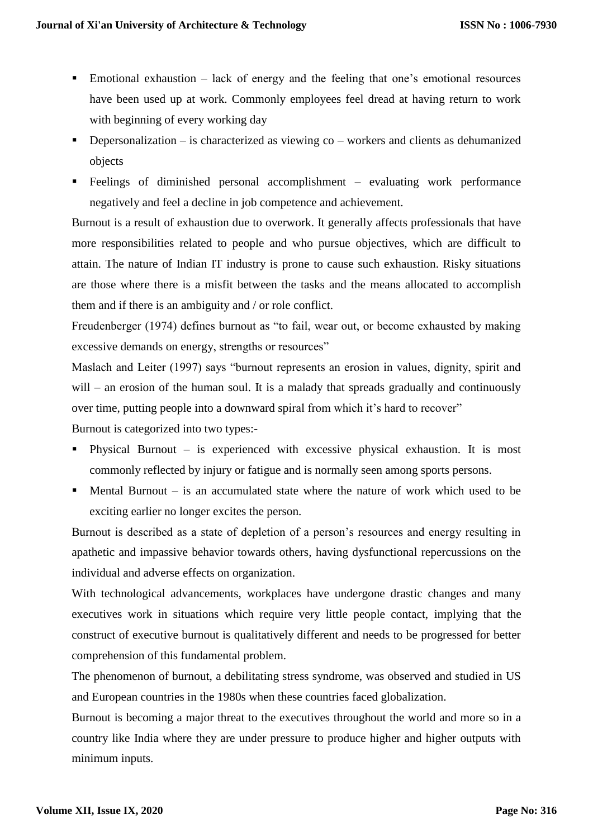- Emotional exhaustion lack of energy and the feeling that one's emotional resources have been used up at work. Commonly employees feel dread at having return to work with beginning of every working day
- **•** Depersonalization is characterized as viewing  $\cos$  workers and clients as dehumanized objects
- Feelings of diminished personal accomplishment evaluating work performance negatively and feel a decline in job competence and achievement.

Burnout is a result of exhaustion due to overwork. It generally affects professionals that have more responsibilities related to people and who pursue objectives, which are difficult to attain. The nature of Indian IT industry is prone to cause such exhaustion. Risky situations are those where there is a misfit between the tasks and the means allocated to accomplish them and if there is an ambiguity and / or role conflict.

Freudenberger (1974) defines burnout as "to fail, wear out, or become exhausted by making excessive demands on energy, strengths or resources"

Maslach and Leiter (1997) says "burnout represents an erosion in values, dignity, spirit and will – an erosion of the human soul. It is a malady that spreads gradually and continuously over time, putting people into a downward spiral from which it's hard to recover"

Burnout is categorized into two types:-

- Physical Burnout is experienced with excessive physical exhaustion. It is most commonly reflected by injury or fatigue and is normally seen among sports persons.
- $\blacksquare$  Mental Burnout is an accumulated state where the nature of work which used to be exciting earlier no longer excites the person.

Burnout is described as a state of depletion of a person's resources and energy resulting in apathetic and impassive behavior towards others, having dysfunctional repercussions on the individual and adverse effects on organization.

With technological advancements, workplaces have undergone drastic changes and many executives work in situations which require very little people contact, implying that the construct of executive burnout is qualitatively different and needs to be progressed for better comprehension of this fundamental problem.

The phenomenon of burnout, a debilitating stress syndrome, was observed and studied in US and European countries in the 1980s when these countries faced globalization.

Burnout is becoming a major threat to the executives throughout the world and more so in a country like India where they are under pressure to produce higher and higher outputs with minimum inputs.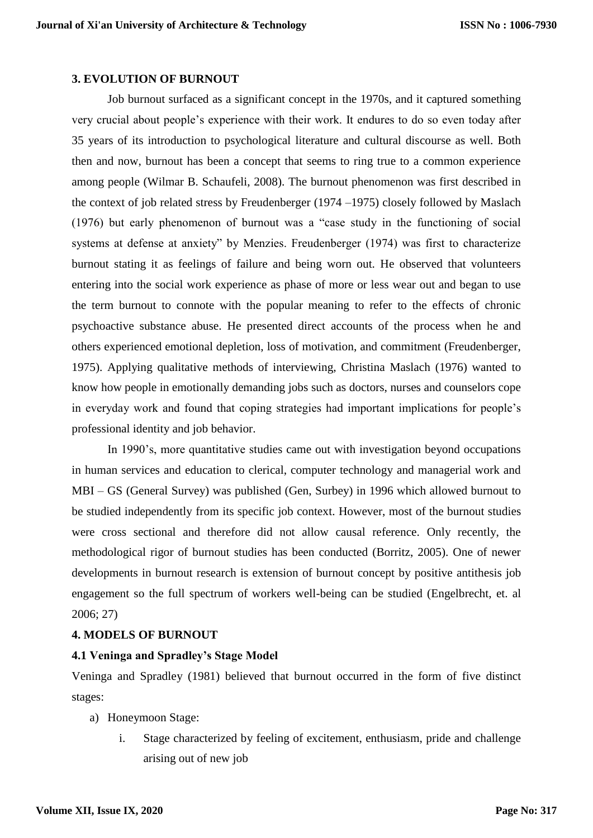#### **3. EVOLUTION OF BURNOUT**

Job burnout surfaced as a significant concept in the 1970s, and it captured something very crucial about people's experience with their work. It endures to do so even today after 35 years of its introduction to psychological literature and cultural discourse as well. Both then and now, burnout has been a concept that seems to ring true to a common experience among people (Wilmar B. Schaufeli, 2008). The burnout phenomenon was first described in the context of job related stress by Freudenberger (1974 –1975) closely followed by Maslach (1976) but early phenomenon of burnout was a "case study in the functioning of social systems at defense at anxiety" by Menzies. Freudenberger (1974) was first to characterize burnout stating it as feelings of failure and being worn out. He observed that volunteers entering into the social work experience as phase of more or less wear out and began to use the term burnout to connote with the popular meaning to refer to the effects of chronic psychoactive substance abuse. He presented direct accounts of the process when he and others experienced emotional depletion, loss of motivation, and commitment (Freudenberger, 1975). Applying qualitative methods of interviewing, Christina Maslach (1976) wanted to know how people in emotionally demanding jobs such as doctors, nurses and counselors cope in everyday work and found that coping strategies had important implications for people's professional identity and job behavior.

In 1990's, more quantitative studies came out with investigation beyond occupations in human services and education to clerical, computer technology and managerial work and MBI – GS (General Survey) was published (Gen, Surbey) in 1996 which allowed burnout to be studied independently from its specific job context. However, most of the burnout studies were cross sectional and therefore did not allow causal reference. Only recently, the methodological rigor of burnout studies has been conducted (Borritz, 2005). One of newer developments in burnout research is extension of burnout concept by positive antithesis job engagement so the full spectrum of workers well-being can be studied (Engelbrecht, et. al 2006; 27)

### **4. MODELS OF BURNOUT**

#### **4.1 Veninga and Spradley's Stage Model**

Veninga and Spradley (1981) believed that burnout occurred in the form of five distinct stages:

- a) Honeymoon Stage:
	- i. Stage characterized by feeling of excitement, enthusiasm, pride and challenge arising out of new job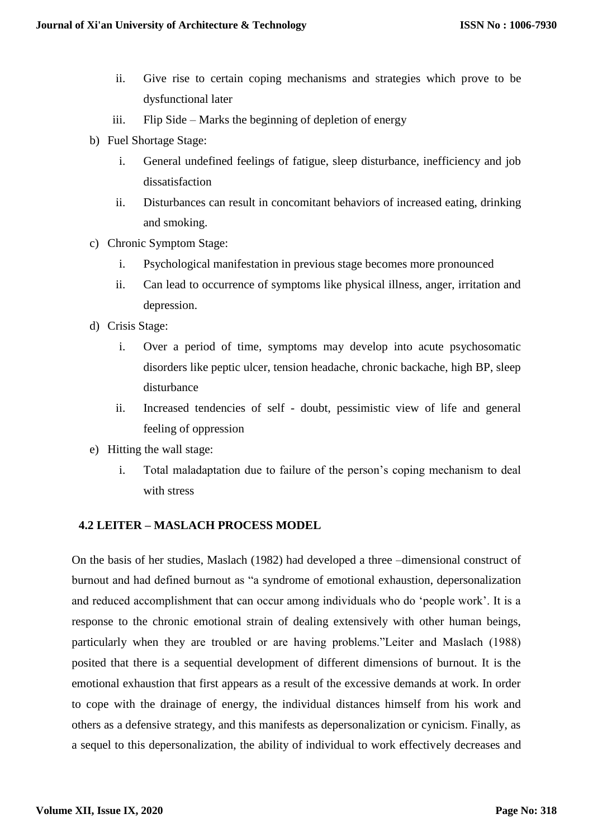- ii. Give rise to certain coping mechanisms and strategies which prove to be dysfunctional later
- iii. Flip Side Marks the beginning of depletion of energy
- b) Fuel Shortage Stage:
	- i. General undefined feelings of fatigue, sleep disturbance, inefficiency and job dissatisfaction
	- ii. Disturbances can result in concomitant behaviors of increased eating, drinking and smoking.
- c) Chronic Symptom Stage:
	- i. Psychological manifestation in previous stage becomes more pronounced
	- ii. Can lead to occurrence of symptoms like physical illness, anger, irritation and depression.
- d) Crisis Stage:
	- i. Over a period of time, symptoms may develop into acute psychosomatic disorders like peptic ulcer, tension headache, chronic backache, high BP, sleep disturbance
	- ii. Increased tendencies of self doubt, pessimistic view of life and general feeling of oppression
- e) Hitting the wall stage:
	- i. Total maladaptation due to failure of the person's coping mechanism to deal with stress

# **4.2 LEITER – MASLACH PROCESS MODEL**

On the basis of her studies, Maslach (1982) had developed a three –dimensional construct of burnout and had defined burnout as "a syndrome of emotional exhaustion, depersonalization and reduced accomplishment that can occur among individuals who do 'people work'. It is a response to the chronic emotional strain of dealing extensively with other human beings, particularly when they are troubled or are having problems."Leiter and Maslach (1988) posited that there is a sequential development of different dimensions of burnout. It is the emotional exhaustion that first appears as a result of the excessive demands at work. In order to cope with the drainage of energy, the individual distances himself from his work and others as a defensive strategy, and this manifests as depersonalization or cynicism. Finally, as a sequel to this depersonalization, the ability of individual to work effectively decreases and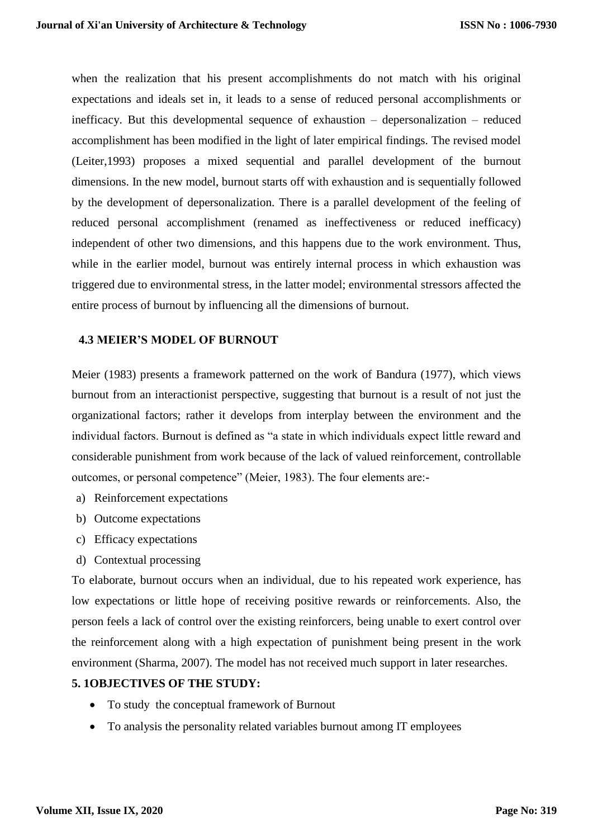when the realization that his present accomplishments do not match with his original expectations and ideals set in, it leads to a sense of reduced personal accomplishments or inefficacy. But this developmental sequence of exhaustion – depersonalization – reduced accomplishment has been modified in the light of later empirical findings. The revised model (Leiter,1993) proposes a mixed sequential and parallel development of the burnout dimensions. In the new model, burnout starts off with exhaustion and is sequentially followed by the development of depersonalization. There is a parallel development of the feeling of reduced personal accomplishment (renamed as ineffectiveness or reduced inefficacy) independent of other two dimensions, and this happens due to the work environment. Thus, while in the earlier model, burnout was entirely internal process in which exhaustion was triggered due to environmental stress, in the latter model; environmental stressors affected the entire process of burnout by influencing all the dimensions of burnout.

### **4.3 MEIER'S MODEL OF BURNOUT**

Meier (1983) presents a framework patterned on the work of Bandura (1977), which views burnout from an interactionist perspective, suggesting that burnout is a result of not just the organizational factors; rather it develops from interplay between the environment and the individual factors. Burnout is defined as "a state in which individuals expect little reward and considerable punishment from work because of the lack of valued reinforcement, controllable outcomes, or personal competence" (Meier, 1983). The four elements are:-

- a) Reinforcement expectations
- b) Outcome expectations
- c) Efficacy expectations
- d) Contextual processing

To elaborate, burnout occurs when an individual, due to his repeated work experience, has low expectations or little hope of receiving positive rewards or reinforcements. Also, the person feels a lack of control over the existing reinforcers, being unable to exert control over the reinforcement along with a high expectation of punishment being present in the work environment (Sharma, 2007). The model has not received much support in later researches.

### **5. 1OBJECTIVES OF THE STUDY:**

- To study the conceptual framework of Burnout
- To analysis the personality related variables burnout among IT employees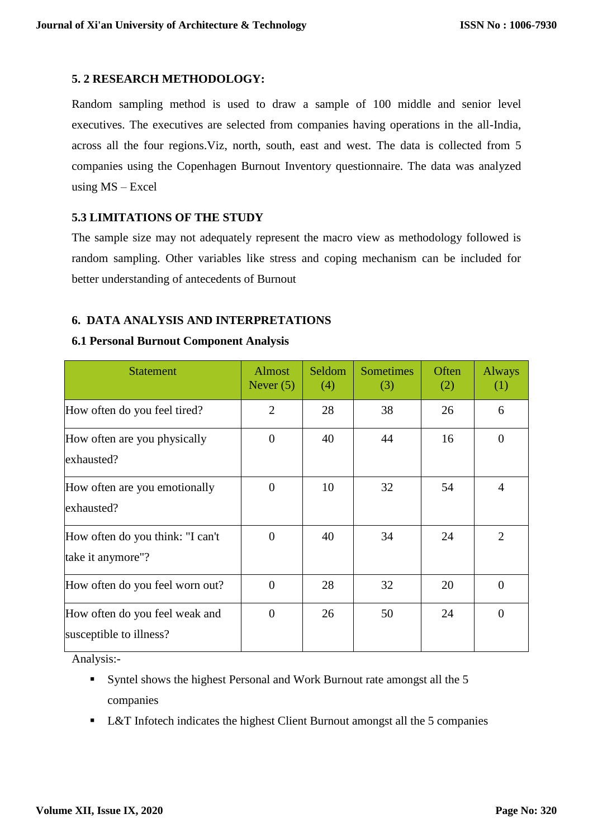# **5. 2 RESEARCH METHODOLOGY:**

Random sampling method is used to draw a sample of 100 middle and senior level executives. The executives are selected from companies having operations in the all-India, across all the four regions.Viz, north, south, east and west. The data is collected from 5 companies using the Copenhagen Burnout Inventory questionnaire. The data was analyzed using  $MS - Excel$ 

# **5.3 LIMITATIONS OF THE STUDY**

The sample size may not adequately represent the macro view as methodology followed is random sampling. Other variables like stress and coping mechanism can be included for better understanding of antecedents of Burnout

# **6. DATA ANALYSIS AND INTERPRETATIONS**

# **6.1 Personal Burnout Component Analysis**

| <b>Statement</b>                                          | <b>Almost</b><br>Never $(5)$ | Seldom<br>(4) | <b>Sometimes</b><br>(3) | Often<br>(2) | Always<br>(1)  |
|-----------------------------------------------------------|------------------------------|---------------|-------------------------|--------------|----------------|
| How often do you feel tired?                              | 2                            | 28            | 38                      | 26           | 6              |
| How often are you physically<br>exhausted?                | $\overline{0}$               | 40            | 44                      | 16           | $\overline{0}$ |
| How often are you emotionally<br>exhausted?               | $\theta$                     | 10            | 32                      | 54           | $\overline{4}$ |
| How often do you think: "I can't<br>take it anymore"?     | $\Omega$                     | 40            | 34                      | 24           | $\overline{2}$ |
| How often do you feel worn out?                           | $\overline{0}$               | 28            | 32                      | 20           | $\overline{0}$ |
| How often do you feel weak and<br>susceptible to illness? | $\overline{0}$               | 26            | 50                      | 24           | $\overline{0}$ |

Analysis:-

- Syntel shows the highest Personal and Work Burnout rate amongst all the 5 companies
- L&T Infotech indicates the highest Client Burnout amongst all the 5 companies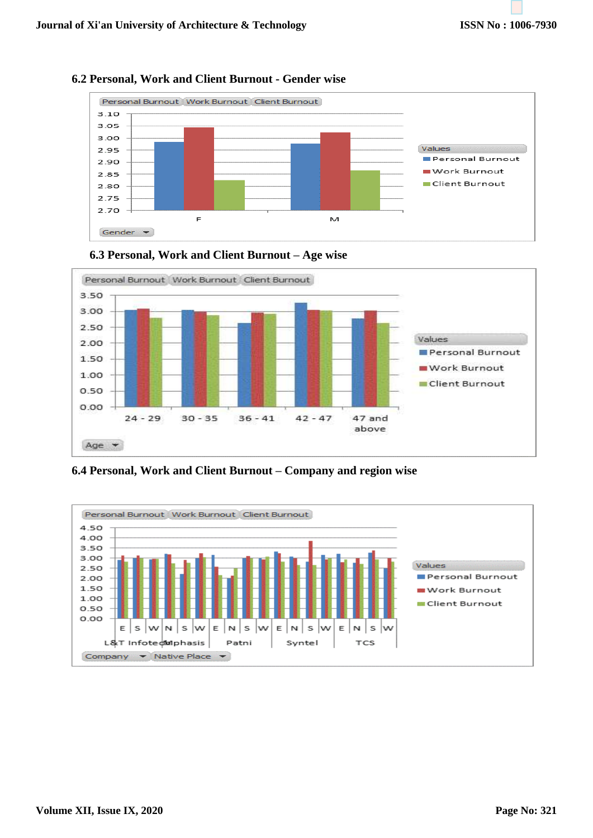

# **6.2 Personal, Work and Client Burnout - Gender wise**





**6.4 Personal, Work and Client Burnout – Company and region wise**

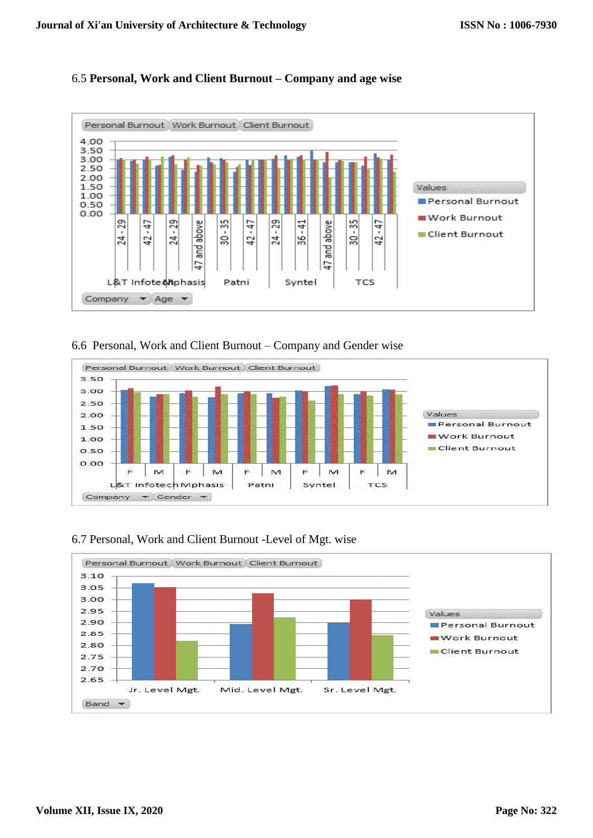# 6.5 **Personal, Work and Client Burnout – Company and age wise**



# 6.6 Personal, Work and Client Burnout – Company and Gender wise



# 6.7 Personal, Work and Client Burnout -Level of Mgt. wise

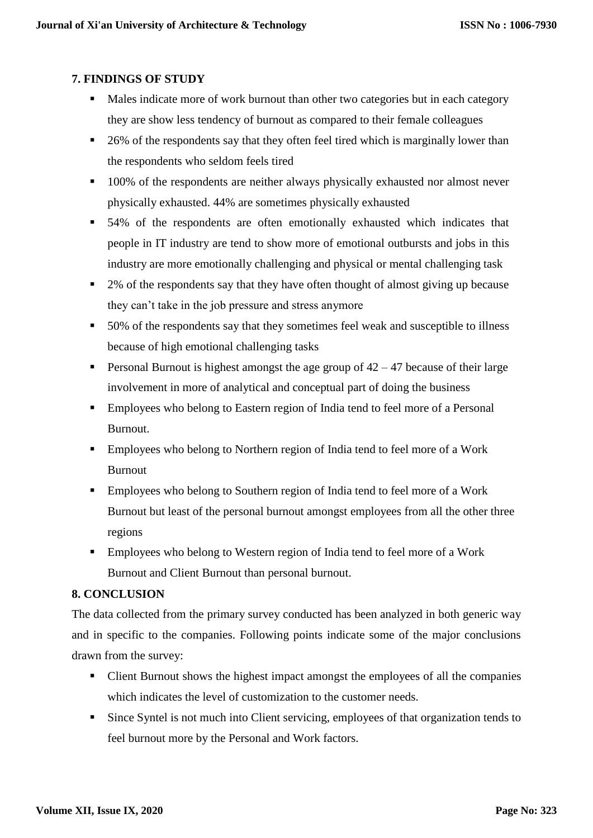# **7. FINDINGS OF STUDY**

- Males indicate more of work burnout than other two categories but in each category they are show less tendency of burnout as compared to their female colleagues
- 26% of the respondents say that they often feel tired which is marginally lower than the respondents who seldom feels tired
- <sup>100</sup>% of the respondents are neither always physically exhausted nor almost never physically exhausted. 44% are sometimes physically exhausted
- 54% of the respondents are often emotionally exhausted which indicates that people in IT industry are tend to show more of emotional outbursts and jobs in this industry are more emotionally challenging and physical or mental challenging task
- <sup>2</sup> 2% of the respondents say that they have often thought of almost giving up because they can't take in the job pressure and stress anymore
- 50% of the respondents say that they sometimes feel weak and susceptible to illness because of high emotional challenging tasks
- Personal Burnout is highest amongst the age group of 42 47 because of their large involvement in more of analytical and conceptual part of doing the business
- **Employees who belong to Eastern region of India tend to feel more of a Personal** Burnout.
- **Employees who belong to Northern region of India tend to feel more of a Work** Burnout
- **Employees who belong to Southern region of India tend to feel more of a Work** Burnout but least of the personal burnout amongst employees from all the other three regions
- **Employees who belong to Western region of India tend to feel more of a Work** Burnout and Client Burnout than personal burnout.

# **8. CONCLUSION**

The data collected from the primary survey conducted has been analyzed in both generic way and in specific to the companies. Following points indicate some of the major conclusions drawn from the survey:

- Client Burnout shows the highest impact amongst the employees of all the companies which indicates the level of customization to the customer needs.
- Since Syntel is not much into Client servicing, employees of that organization tends to feel burnout more by the Personal and Work factors.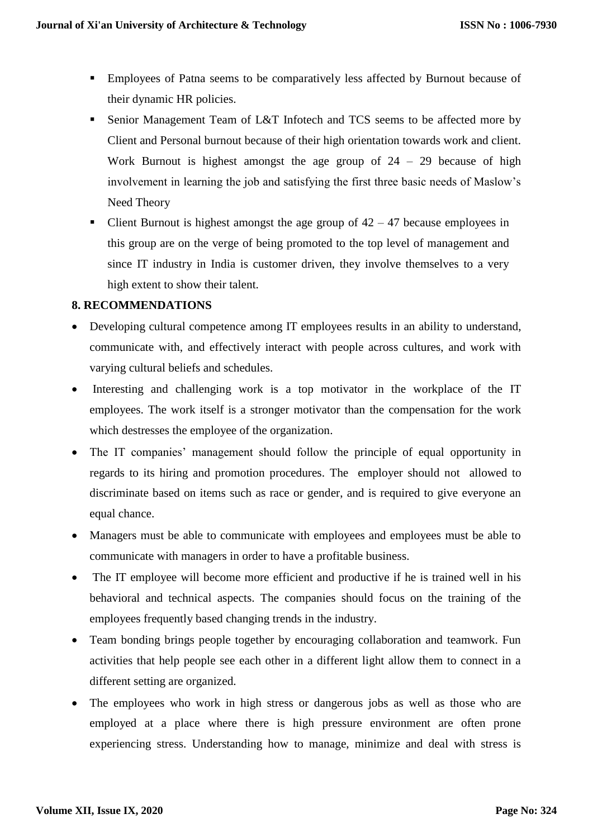- Employees of Patna seems to be comparatively less affected by Burnout because of their dynamic HR policies.
- Senior Management Team of L&T Infotech and TCS seems to be affected more by Client and Personal burnout because of their high orientation towards work and client. Work Burnout is highest amongst the age group of  $24 - 29$  because of high involvement in learning the job and satisfying the first three basic needs of Maslow's Need Theory
- Client Burnout is highest amongst the age group of  $42 47$  because employees in this group are on the verge of being promoted to the top level of management and since IT industry in India is customer driven, they involve themselves to a very high extent to show their talent.

# **8. RECOMMENDATIONS**

- Developing cultural competence among IT employees results in an ability to understand, communicate with, and effectively interact with people across cultures, and work with varying cultural beliefs and schedules.
- Interesting and challenging work is a top motivator in the workplace of the IT employees. The work itself is a stronger motivator than the compensation for the work which destresses the employee of the organization.
- The IT companies' management should follow the principle of equal opportunity in regards to its hiring and promotion procedures. The employer should not allowed to discriminate based on items such as race or gender, and is required to give everyone an equal chance.
- Managers must be able to communicate with employees and employees must be able to communicate with managers in order to have a profitable business.
- The IT employee will become more efficient and productive if he is trained well in his behavioral and technical aspects. The companies should focus on the training of the employees frequently based changing trends in the industry.
- Team bonding brings people together by encouraging collaboration and teamwork. Fun activities that help people see each other in a different light allow them to connect in a different setting are organized.
- The employees who work in high stress or dangerous jobs as well as those who are employed at a place where there is high pressure environment are often prone experiencing stress. Understanding how to manage, minimize and deal with stress is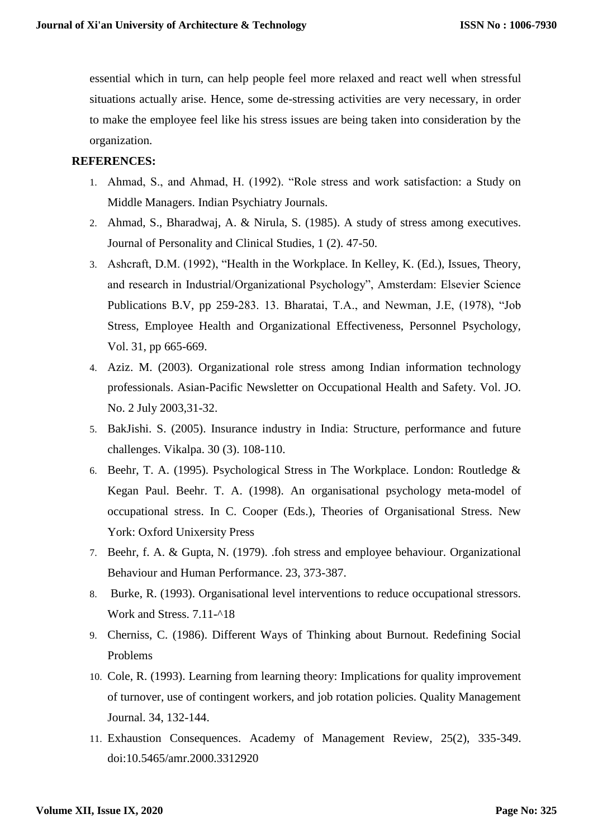essential which in turn, can help people feel more relaxed and react well when stressful situations actually arise. Hence, some de-stressing activities are very necessary, in order to make the employee feel like his stress issues are being taken into consideration by the organization.

### **REFERENCES:**

- 1. Ahmad, S., and Ahmad, H. (1992). "Role stress and work satisfaction: a Study on Middle Managers. Indian Psychiatry Journals.
- 2. Ahmad, S., Bharadwaj, A. & Nirula, S. (1985). A study of stress among executives. Journal of Personality and Clinical Studies, 1 (2). 47-50.
- 3. Ashcraft, D.M. (1992), "Health in the Workplace. In Kelley, K. (Ed.), Issues, Theory, and research in Industrial/Organizational Psychology", Amsterdam: Elsevier Science Publications B.V, pp 259-283. 13. Bharatai, T.A., and Newman, J.E, (1978), "Job Stress, Employee Health and Organizational Effectiveness, Personnel Psychology, Vol. 31, pp 665-669.
- 4. Aziz. M. (2003). Organizational role stress among Indian information technology professionals. Asian-Pacific Newsletter on Occupational Health and Safety. Vol. JO. No. 2 July 2003,31-32.
- 5. BakJishi. S. (2005). Insurance industry in India: Structure, performance and future challenges. Vikalpa. 30 (3). 108-110.
- 6. Beehr, T. A. (1995). Psychological Stress in The Workplace. London: Routledge & Kegan Paul. Beehr. T. A. (1998). An organisational psychology meta-model of occupational stress. In C. Cooper (Eds.), Theories of Organisational Stress. New York: Oxford Unixersity Press
- 7. Beehr, f. A. & Gupta, N. (1979). .foh stress and employee behaviour. Organizational Behaviour and Human Performance. 23, 373-387.
- 8. Burke, R. (1993). Organisational level interventions to reduce occupational stressors. Work and Stress. 7.11-^18
- 9. Cherniss, C. (1986). Different Ways of Thinking about Burnout. Redefining Social Problems
- 10. Cole, R. (1993). Learning from learning theory: Implications for quality improvement of turnover, use of contingent workers, and job rotation policies. Quality Management Journal. 34, 132-144.
- 11. Exhaustion Consequences. Academy of Management Review, 25(2), 335-349. doi:10.5465/amr.2000.3312920